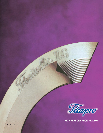

 $\theta$ 

**HIGH PERFORMANCE SEALING**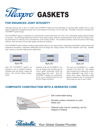

# **FOR ENHANCED JOINT INTEGRITY**

Although relatively new to the U.S. market, the FLEXPRO™ gasket has been providing an extremely tight, reliable seal in a wide range of applications throughout Europe since its development in Germany over 85 years ago. Flexitallic is pleased to introduce the FLEXPRO™ gasket design.

The FLEXPRO™ gasket is comprised of a concentrically serrated solid metal core with a soft, conformable sealing material bonded to each face. The soft facing material provides low stress gasket seating, while the serrated geometry of the metal core enhances sealing performance by inducing stress concentrations on the sealing surfaces. The serrations minimize lateral movement of the facing material, while the metal core provides rigidity and blowout resistance.

The FLEXPRO™ gasket exhibits excellent compressibility and recovery characteristics, maintaining joint tightness under pressure and temperature fluctuations, temperature differential across the flange face, flange rotation, bolt stress relaxation, and creep. Suitable from vacuum to extremely high pressure applications.



Style PN

Style PN FLEXPRO™ gaskets are selected for use in confined locations, including male and female, tongue and groove, and recessed flange arrangements.



Style ZG

Variation of the PN FLEXPRO™, utilizes an integral outer locating ring for correct gasket positioning within the mating flange bolt circle. Style ZG FLEXPRO™ gaskets are recommended for use on standard raised face and flat face flange assemblies.





The Style ZA FLEXPRO™ is a slight variation of the Style ZG. The integral outer locating ring is replaced by a loose fitting independent ring which is preferred where flange differential radial thermal expansion may be encountered. These rings may also be spot welded.

## **COMPOSITE CONSTRUCTION WITH A SERRATED CORE**



Soft conformable facing

Serrated surface machined on solid metal core

Optional outer ring for centering; can be integral or floating

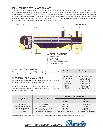## IDEAL FOR HEAT EXCHANGER FLANGES

Although suitable for use on standard ASME flanges in a wide range of difficult applications, the  $FLEXPROT<sup>M</sup>$  gasket is proving to be especially suitable as a reliable, cost effective alternative to jacketed gaskets that are commonly used in heat exchanger applications. Use of the Flexitallic FLEXPRO™ gasket will ensure a reliable seal, from initial hydrotest through difficult operating conditions. FLEXPRO™ gaskets are suitable for use on TEMA flanges, and when required, pass partition ribs can be supplied in any configuration. The FLEXPRO™ gasket provides a high integrity, low seating stress seal, and is ideal for heat exchanger applications with limited bolt load or lighter weight flanges.



### STANDARD CORE MATERIALS

Standard core thickness is 0.125" (nominal); other thicknesses and materials are readily available to suit specific applications.

### STANDARD FACING MATERIALS

Standard facing thickness is 0.020"; other thicknesses and materials are readily available to suit specific applications.

### FLANGE SURFACE FINISH REQUIREMENTS

The ideal flanges surface finish for use with Flexitallic FLEXPRO™ gaskets is  $125 - 250 \mu$ -inch Ra.

| <b>Core Material</b>   | <b>Max. Temperature</b>     |
|------------------------|-----------------------------|
| <b>Stainless Steel</b> | 1000 - 1600°F (535 - 870°C) |
| Carbon Steel           | 1000°F (535°C)              |
| <b>Brass</b>           | 500°F (260°C)               |
| Copper                 | 600°F (315°C)               |
| Aluminum               | 800°F (425°C)               |
| Monel                  | 1500°F (815°C)              |
| <b>Nickel</b>          | 1200°F (650°C)              |
| Inconel                | 2000°F (1100°C)             |

|                                    |                                    | <b>Seating Stress at Room Temp</b> |                             |
|------------------------------------|------------------------------------|------------------------------------|-----------------------------|
| <b>Facing Material</b>             | <b>Max. Temperature</b>            | Min.<br>psi (Mpa)                  | Max.<br>psi (Mpa)           |
| Thermiculite                       | 1800°F (982°C)                     | 2500 (17)                          | 72500 (500)*                |
| <b>Flexicarb Flexible Graphite</b> | 850°F (454°C)                      | 2500 (17)                          | 72500 (500)                 |
| Non-asbestos Sheet                 | 350 - 750°F (175 - 400°C)          | 3300 (23)                          | 72500 (500)                 |
| <b>PTFE</b>                        | $500^{\circ}$ F (260 $^{\circ}$ C) | 2500 (17)                          | 72500 (500)                 |
| Soft Metals                        | Per Material (Per material)        | Per Material (Per material)        | Per Material (Per material) |

\*While high stresses have been utilized, Flexitallic Engineering should be contacted for operating stresses above 40,000 psi.

*Your Global Gasket Provider* ® <sup>2</sup>

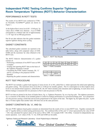# **Independent PVRC Testing Confirms Superior Tightness Room Temperature Tightness (ROTT) Behavior Characterization**

## PERFORMANCE IN ROTT TESTS

The results of two ROTT tests conducted at TTRL<sup>1</sup> on Flexitallic FLEXPRO™ gaskets are shown in Figure 1.

At the highest Part A stress level (S5 - 15160 psi), Tp values above 55000 were obtained. A tp of 55000 corresponds to a Helium leak rate of approximately  $1 \times 10^{-6}$  mg/s for an 800 psig pressure.

Part B test data indicates that this gasket maintains superior tightness during stress cycling.

## GASKET CONSTANTS

The calculated gasket constants are reported in the table below, along with computed values of S100, S1000 and the maximum Tp value obtained in the ROTT tests.

The ROTT behavior characterization of a gasket consists of:

- Performing a minimum of two ROTT tests on NPS 4 samples
- Treating and reporting ROTT data on the basis of the Tightness Parameter Concept
- Calculating the PVRC Gasket constants, Gb, "a" and Gs, according to the proposed ASTM Standard
- Reporting the gasket constants and characteristics

## ROTT TEST PROCEDURE

100000 Note: Applied internal pressure (P) for leakage measurements: P = 800 psi points are represented by unfilled markers P = 400 psi points are represented by filled markers  $\neg$  Part A  $\rightarrow$  Part B1  $-$  Part B<sub>2</sub>  $-$  Part B3 10000 Sg (psi) Gasket Stress, Sg (psi)  $\Box^\triangle$ Gasket Stress,  $a = 0.334$ 1000  $Gb = 387$ FL09RT01 FL09RT02  $Gs = 14$ ш 1 10 100 1000 1000 10000 100000 100000 100000 100000 100000 100000 100000 100000 10000 1000 100 100 100 100 10 Tightness Parameter, Tp

*Figure 1 - ROTT Test Results*

| Gb                                           | a     | Gs     | $S_{100}$ | $S_{1000}$ | <b>T<sub>n</sub>MAX</b> |
|----------------------------------------------|-------|--------|-----------|------------|-------------------------|
| 387 psi                                      | 0.334 | 14 psi | 1802 psi  | 3888 psi   | 55000                   |
| $DUPDCD$ $C$ anatanta<br>$T_0$ $h$ $h_0$ $f$ |       |        |           |            |                         |

*Table 1 - PVRC Constants*

|           | 2500 psi          |
|-----------|-------------------|
| $T_0$ hlo | $A CME$ Canatanta |

*Table 2 - ASME Constants*

The ROTT test includes a gasket load sequence (5 stress levels, S1 to S5), called Part A, which represents the initial joint tightening and gasket seating. The maximum stress level (S5) is 15160 psi for metallic gaskets. Part A is interrupted at its three highest stress levels to run unload-reload sequences, called Parts B1, B2, B3 which simulate joint relaxation and re-tightening. At each stress level, Helium leakage is measured (for two pressures in Part A and one pressure in Part B).

ROTT test data are plotted in the form of Gasket Stress, Sg, vs. Tightness Parameter, Tp, on a log-log scale. The tightness parameter, Tp, is a measure of the ability of an installed gasket to control its leakage performance in a pressurized flange joint. Tp is proportional to the pressure causing a small leak and inversely proportional to the square of the leak. The higher Tp, the tighter the joint. A joint that is 10 times tighter than another leaks 100 times less (at the same pressure).

## GASKET CONSTANTS Gb, "a", AND Gs

The new PVRC tightness based gasket constants are determined from the results of two or more ROTT tests. Together constants Gb and "a" together define an initial seating performance line. The combined effect of Gb, and "a" is best represented by the value of STP  $=$  Gb x Tpa calculated for typical values of Tp such as 100 or 1000. For example S100 = Gb (100)a. Constant Gs independently represents operation. Low values of Gb, "a", Gs, S100 and S1000 are favorable.

*1 Tightness Testing and Research Laboratory - Ecole Polytechnique of Montreal*

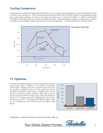## **Cycling Comparison**

During operation, unloading of a bolted-gasketed joint can occur due to pressurization, fluctuation in pressure and temperature, thermal effects, joint relaxation, etc. PVRC test data confirms the superior ability of the FLEXPRO™ gasket to maintain tightness under these cyclic loading conditions. As shown in the graph, when gasket stress is reduced from 8000 psi to 4400 psi, the Flexitallic FLEXPRO™ gasket leaks 100 times less than the Graphonic® gasket. When subsequently reloaded to a gasket stress of 4400 psi and 8000 psi, the FLEXPRO™ gasket leaks 20 times less than the Graphonic®. A TIGHTER JOINT IS A SAFER JOINT!



### HELIUM AT 800 PSI

## **T3 Tightness**

The PVRC developed method for characterizing gasket performance specifies three classes of tightness. T1 (economy), T2 (standard), and T3 (tight). A tightness class of T3 represents a mass leak rate per unit diameter, of 0.00002 mg/sec-mm. This graph shows that the Flexitallic FLEXPRO™ gasket achieves a tightness class of T3 at the lowest seating stress when compared to other types of gaskets. Results are based on PVRC test data, using a gasket with dimensions of 20 x 21-1/2" diameter, with (20) 1" diameter bolts, and an assembly efficiency of 0.075. The Flexitallic FLEXPRO™ gasket is ideal for use in applications with limited bolt load and lighter weight flanges.



*Graphonic® is a registered trademark of Marine and Petroleum Mfg., Inc.*



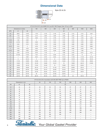# **Dimensional Data**



| Style ZG & ZA |  |  |  |  |
|---------------|--|--|--|--|
|---------------|--|--|--|--|

| STYLE ZG & ZA To Suit ASME B16.5 and BS 1560 Flanges Class 150 up to 2500 |                      |            |            |            |                |            |            |                          |            |
|---------------------------------------------------------------------------|----------------------|------------|------------|------------|----------------|------------|------------|--------------------------|------------|
|                                                                           | Dimensions in inches |            | 150        | 300        | 400            | 600        | 900        | 1500                     | 2500       |
| <b>NPS</b>                                                                | d1                   | d2         |            |            |                | d3         |            |                          |            |
| 1/2                                                                       | 29/32                | $1 - 5/16$ | $1 - 7/8$  | $2 - 1/8$  | $2 - 1/8$      | $2 - 1/8$  | $2 - 1/2$  | $2 - 1/2$                | $2 - 3/4$  |
| 3/4                                                                       | $1 - 1/8$            | $1 - 9/16$ | $2 - 1/4$  | $2 - 5/8$  | $2 - 5/8$      | $2 - 5/8$  | $2 - 3/4$  | $2 - 3/4$                | 3          |
| $\mathbf{1}$                                                              | $1 - 7/16$           | $1 - 7/8$  | $2 - 5/8$  | $2 - 7/8$  | $2 - 7/8$      | $2 - 7/8$  | $3 - 1/8$  | $3 - 1/8$                | $3 - 3/8$  |
| $1 - 1/4$                                                                 | $1 - 3/4$            | $2 - 3/8$  | 3          | $3 - 1/4$  | $3 - 1/4$      | $3 - 1/4$  | $3 - 1/2$  | $3 - 1/2$                | $4 - 1/8$  |
| $1 - 1/2$                                                                 | $2 - 1/16$           | $2 - 3/4$  | $3 - 3/8$  | $3 - 3/4$  | $3 - 3/4$      | $3 - 3/4$  | $3 - 7/8$  | $3 - 7/8$                | $4 - 5/8$  |
| 2                                                                         | $2 - 3/4$            | $3 - 1/2$  | $4 - 1/8$  | $4 - 3/8$  | $4 - 3/8$      | $4 - 3/8$  | $5 - 5/8$  | $5 - 5/8$                | $5 - 3/4$  |
| $2 - 1/2$                                                                 | $3 - 1/4$            | 4          | $4 - 7/8$  | $5 - 1/8$  | $5 - 1/8$      | $5 - 1/8$  | $6 - 1/2$  | $6 - 1/2$                | $6 - 5/8$  |
| 3                                                                         | $3 - 7/8$            | $4 - 7/8$  | $5 - 3/8$  | $5 - 7/8$  | $5 - 7/8$      | $5 - 7/8$  | $6 - 5/8$  | $6 - 7/8$                | $7 - 3/4$  |
| $3 - 1/2$                                                                 | $4 - 3/8$            | $5 - 3/8$  | $6 - 3/8$  | $6 - 1/2$  | $6 - 3/8$      | $6 - 3/8$  | $7 - 1/2$  | $7 - 3/8$                | ---        |
| $\overline{4}$                                                            | $4 - 7/8$            | $6 - 1/16$ | $6 - 7/8$  | $7 - 1/8$  | $\overline{7}$ | $7 - 5/8$  | $8 - 1/8$  | $8 - 1/4$                | $9 - 1/4$  |
| 5                                                                         | $5 - 15/16$          | $7 - 3/16$ | $7 - 3/4$  | $8 - 1/2$  | $8 - 3/8$      | $9 - 1/2$  | $9 - 3/4$  | 10                       | 11         |
| 6                                                                         | $\overline{7}$       | $8 - 3/8$  | $8 - 3/4$  | $9 - 7/8$  | $9 - 3/4$      | $10 - 1/2$ | $11 - 3/8$ | $11 - 1/8$               | $12 - 1/2$ |
| 8                                                                         | 9                    | $10 - 1/2$ | 11         | $12 - 1/8$ | 12             | $12 - 5/8$ | $14 - 1/8$ | $13 - 7/8$               | $15 - 1/4$ |
| 10                                                                        | $11 - 1/8$           | $12 - 5/8$ | $13 - 3/8$ | $14 - 1/4$ | $14 - 1/8$     | $15 - 3/4$ | $17 - 1/8$ | $17 - 1/8$               | $18 - 3/4$ |
| 12                                                                        | $13 - 3/8$           | $14 - 7/8$ | $16 - 1/8$ | $16 - 5/8$ | $16 - 1/2$     | 18         | $19 - 5/8$ | $20 - 1/2$               | $21 - 5/8$ |
| 14                                                                        | $14 - 5/8$           | $16 - 1/8$ | $17 - 3/4$ | $19 - 1/8$ | 19             | $19 - 3/8$ | $20 - 1/2$ | $22 - 3/4$               | ---        |
| 16                                                                        | $16 - 5/8$           | $18 - 3/8$ | $20 - 1/4$ | $21 - 1/4$ | $21 - 1/8$     | $22 - 1/4$ | $22 - 5/8$ | $25 - 1/4$               | ---        |
| 18                                                                        | $18 - 7/8$           | $20 - 7/8$ | $21 - 5/8$ | $23 - 1/2$ | $23 - 3/8$     | $24 - 1/8$ | $25 - 1/8$ | $27 - 3/4$               | ---        |
| 20                                                                        | $20 - 7/8$           | $22 - 7/8$ | $23 - 7/8$ | $25 - 3/4$ | $25 - 1/2$     | $26 - 7/8$ | $27 - 1/2$ | $29 - 3/4$               | ---        |
| 22                                                                        | $22 - 7/8$           | $24 - 7/8$ | 26         | $27 - 3/4$ | $27 - 5/8$     | $28 - 7/8$ | ---        | $\hspace{0.05cm} \cdots$ | ---        |
| 24                                                                        | $24 - 7/8$           | $26 - 7/8$ | $28 - 1/4$ | $30 - 1/2$ | $30 - 1/4$     | $31 - 1/8$ | 33         | $35 - 1/2$               | ---        |

| STYLE ZG & ZA in Accordance with DIN 2697 PN64 Up to PN400 |                  |     |     |     |                        |                         |     |       |
|------------------------------------------------------------|------------------|-----|-----|-----|------------------------|-------------------------|-----|-------|
|                                                            | Dimensions in mm |     | 64  | 100 | 160                    | 350                     | 320 | 400   |
| <b>DN</b>                                                  | d1               | d2  |     |     | d3                     |                         |     |       |
| 10                                                         | 22               | 40  | 56  | 56  | 56                     | 67                      | 67  | 67    |
| 15                                                         | 25               | 45  | 61  | 61  | 61                     | 72                      | 72  | 77    |
| 25                                                         | 36               | 68  | 82  | 82  | 82                     | 82                      | 92  | 103   |
| 40                                                         | 50               | 88  | 102 | 102 | 102                    | 108                     | 118 | 135   |
| 50                                                         | 62               | 102 | 112 | 118 | 118                    | 123                     | 133 | 150   |
| 65                                                         | 74               | 122 | 137 | 143 | 143                    | 153                     | 170 | 192   |
| 80                                                         | 90               | 138 | 147 | 153 | 153                    | 170                     | 190 | 207   |
| 100                                                        | 115              | 162 | 173 | 180 | 180                    | 202                     | 229 | 256   |
| 125                                                        | 142              | 188 | 210 | 217 | 217                    | 242                     | 274 | 301   |
| 150                                                        | 165              | 218 | 247 | 257 | 257                    | 284                     | 311 | 348   |
| (175)                                                      | 190              | 260 | 277 | 287 | 284                    | 316                     | 358 | ---   |
| 200                                                        | 214              | 285 | 309 | 324 | 324                    | 358                     | 398 | 442   |
| 250                                                        | 264              | 345 | 364 | 391 | 388                    | 442                     | 488 | ---   |
| 300                                                        | 310              | 410 | 424 | 458 | 458                    | $\hspace{1.5cm} \ldots$ | --- | ---   |
| 350                                                        | 340              | 465 | 486 | 512 | $\qquad \qquad \cdots$ | ---                     | --- | ---   |
| 400                                                        | 386              | 535 | 543 | --- | $\qquad \qquad \cdots$ | ---                     | --- | $---$ |

5 Westlallic Your Global Gasket Provider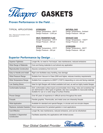

## **Proven Performance in the Field . . .**

### TYPICAL APPLICATIONS: **HYDROGEN**

*Note: These are just examples of some typical applications.*

Design Temperature - 850°F Design Pressure - 3,000 psi

**HEAT TRANSFER FLUID** Design Temperature - 575°F Design Pressure - 290 psi

**STEAM** Design Temperature - 575°F Design Pressure - 250 psi

**NATURAL GAS** Design Temperature - Ambient Design Pressure - 600 psi

**EXHAUST GAS** Design Temperature - 1300°F Design Pressure - 20 psi

### **HYDROGEN**

Design Temperature - 900°F Design Pressure - 800 psi

# **Superior Performance by Design . . .**

| <b>Superior Tightness</b>              | Longer life, no need to "hot torque", less maintenance, reduced emissions                                                                                                                                                              |
|----------------------------------------|----------------------------------------------------------------------------------------------------------------------------------------------------------------------------------------------------------------------------------------|
| Wide Range of Materials                | Core and facing materials to suit almost any application                                                                                                                                                                               |
| <b>Reproducible Construction</b>       | Assures consistency from lot to lot                                                                                                                                                                                                    |
| Easy to Handle and Install             | Rigid core facilitates easy handling, less damage                                                                                                                                                                                      |
| Wide Pressure Range                    | Suitable from Vacuum to Class 2500 and higher, reduces inventory requirements                                                                                                                                                          |
| Wide Temperature Range                 | Suitable from cryogenics to 2000°F (1100°C) depending on core and facing materials                                                                                                                                                     |
| <b>Low Seating Stress</b>              | Ideal for light flanges with limited available bolt load, as well as highly loaded flanges                                                                                                                                             |
| <b>Conformable Surfaces</b>            | Soft, conformable surface layers accommodate minor dings, nicks and scratches that<br>are detrimental to other types of gaskets; also less susceptible to inaccurate bolting.<br>Suitable for use on a wide range of surface finishes. |
| Proven Design                          | Over 85 years of experience in difficult service throughout the world                                                                                                                                                                  |
| Firesafe                               | Flexible graphite, Thermiculite, and metal cores are inherently firesafe                                                                                                                                                               |
| <b>Wide Application</b>                | Available for standard and special flanges, in circular and non-circular shapes                                                                                                                                                        |
| Replaces Jacketed Gaskets              | Direct replacement for jacketed gaskets in most applications                                                                                                                                                                           |
| <b>Cost Effective</b>                  | Longer life, less maintenance, reduced emissions, and can be refurbished                                                                                                                                                               |
| Available in Segmented<br>Construction | Facilitates assembly into applications with limited access                                                                                                                                                                             |

Your Global Gasket Provider *Rexitallic*